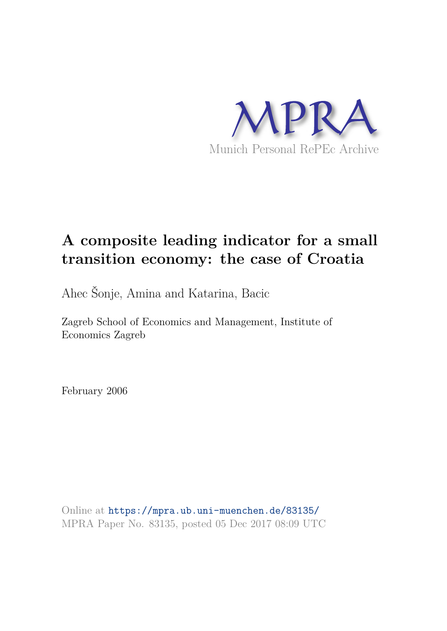

# **A composite leading indicator for a small transition economy: the case of Croatia**

Ahec Šonje, Amina and Katarina, Bacic

Zagreb School of Economics and Management, Institute of Economics Zagreb

February 2006

Online at https://mpra.ub.uni-muenchen.de/83135/ MPRA Paper No. 83135, posted 05 Dec 2017 08:09 UTC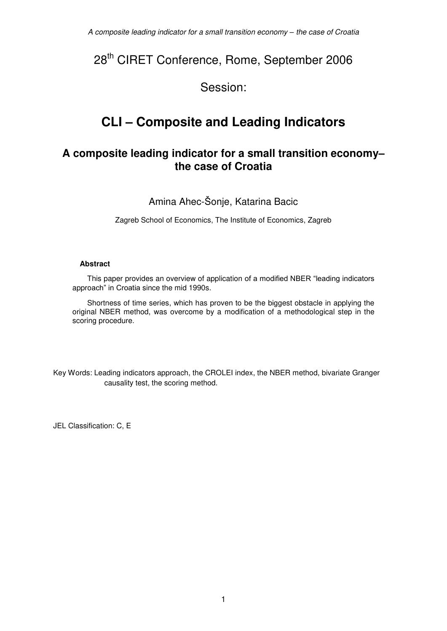*A composite leading indicator for a small transition economy – the case of Croatia* 

28<sup>th</sup> CIRET Conference, Rome, September 2006

Session:

## **CLI – [Composite and Leading Indicators](http://www.ciret.org/conferences/rome2006/%20http:/www.ciret.org/conferences/rome2006/papers/topic_abstracts?topicid=3)**

## **A composite leading indicator for a small transition economy– the case of Croatia**

Amina Ahec-Šonje, Katarina Bacic

Zagreb School of Economics, The Institute of Economics, Zagreb

#### **Abstract**

This paper provides an overview of application of a modified NBER "leading indicators approach" in Croatia since the mid 1990s.

Shortness of time series, which has proven to be the biggest obstacle in applying the original NBER method, was overcome by a modification of a methodological step in the scoring procedure.

Key Words: Leading indicators approach, the CROLEI index, the NBER method, bivariate Granger causality test, the scoring method.

JEL Classification: C, E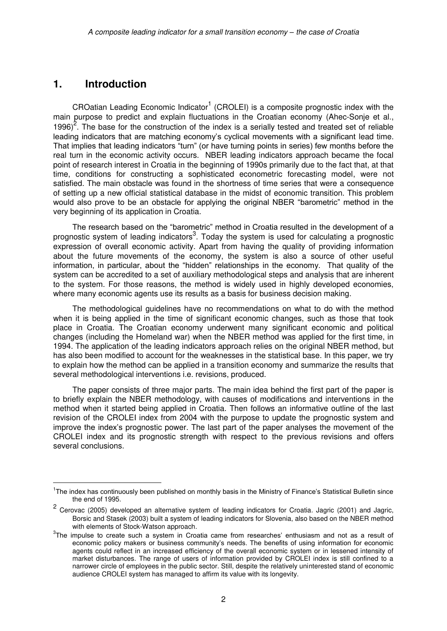## **1. Introduction**

 $\ddot{ }$ 

CROatian Leading Economic Indicator<sup>1</sup> (CROLEI) is a composite prognostic index with the main purpose to predict and explain fluctuations in the Croatian economy (Ahec-Sonje et al., 1996)<sup>2</sup>. The base for the construction of the index is a serially tested and treated set of reliable leading indicators that are matching economy's cyclical movements with a significant lead time. That implies that leading indicators "turn" (or have turning points in series) few months before the real turn in the economic activity occurs. NBER leading indicators approach became the focal point of research interest in Croatia in the beginning of 1990s primarily due to the fact that, at that time, conditions for constructing a sophisticated econometric forecasting model, were not satisfied. The main obstacle was found in the shortness of time series that were a consequence of setting up a new official statistical database in the midst of economic transition. This problem would also prove to be an obstacle for applying the original NBER "barometric" method in the very beginning of its application in Croatia.

The research based on the "barometric" method in Croatia resulted in the development of a prognostic system of leading indicators<sup>3</sup>. Today the system is used for calculating a prognostic expression of overall economic activity. Apart from having the quality of providing information about the future movements of the economy, the system is also a source of other useful information, in particular, about the "hidden" relationships in the economy. That quality of the system can be accredited to a set of auxiliary methodological steps and analysis that are inherent to the system. For those reasons, the method is widely used in highly developed economies, where many economic agents use its results as a basis for business decision making.

The methodological guidelines have no recommendations on what to do with the method when it is being applied in the time of significant economic changes, such as those that took place in Croatia. The Croatian economy underwent many significant economic and political changes (including the Homeland war) when the NBER method was applied for the first time, in 1994. The application of the leading indicators approach relies on the original NBER method, but has also been modified to account for the weaknesses in the statistical base. In this paper, we try to explain how the method can be applied in a transition economy and summarize the results that several methodological interventions i.e. revisions, produced.

The paper consists of three major parts. The main idea behind the first part of the paper is to briefly explain the NBER methodology, with causes of modifications and interventions in the method when it started being applied in Croatia. Then follows an informative outline of the last revision of the CROLEI index from 2004 with the purpose to update the prognostic system and improve the index's prognostic power. The last part of the paper analyses the movement of the CROLEI index and its prognostic strength with respect to the previous revisions and offers several conclusions.

<sup>&</sup>lt;sup>1</sup>The index has continuously been published on monthly basis in the Ministry of Finance's Statistical Bulletin since the end of 1995.

<sup>&</sup>lt;sup>2</sup> Cerovac (2005) developed an alternative system of leading indicators for Croatia. Jagric (2001) and Jagric, Borsic and Stasek (2003) built a system of leading indicators for Slovenia, also based on the NBER method with elements of Stock-Watson approach.

 $^3$ The impulse to create such a system in Croatia came from researches' enthusiasm and not as a result of economic policy makers or business community's needs. The benefits of using information for economic agents could reflect in an increased efficiency of the overall economic system or in lessened intensity of market disturbances. The range of users of information provided by CROLEI index is still confined to a narrower circle of employees in the public sector. Still, despite the relatively uninterested stand of economic audience CROLEI system has managed to affirm its value with its longevity.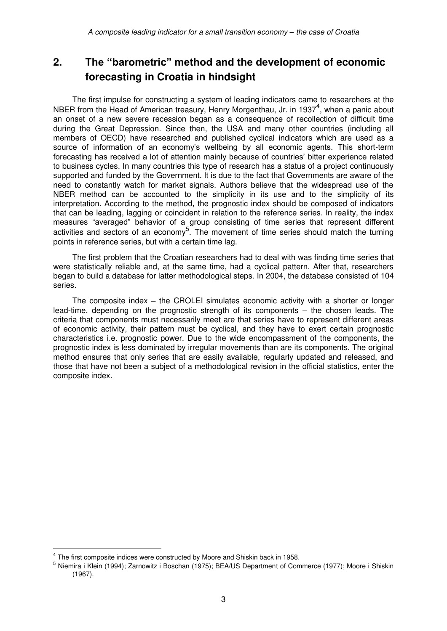## **2. The "barometric" method and the development of economic forecasting in Croatia in hindsight**

The first impulse for constructing a system of leading indicators came to researchers at the NBER from the Head of American treasury, Henry Morgenthau, Jr. in 1937<sup>4</sup>, when a panic about an onset of a new severe recession began as a consequence of recollection of difficult time during the Great Depression. Since then, the USA and many other countries (including all members of OECD) have researched and published cyclical indicators which are used as a source of information of an economy's wellbeing by all economic agents. This short-term forecasting has received a lot of attention mainly because of countries' bitter experience related to business cycles. In many countries this type of research has a status of a project continuously supported and funded by the Government. It is due to the fact that Governments are aware of the need to constantly watch for market signals. Authors believe that the widespread use of the NBER method can be accounted to the simplicity in its use and to the simplicity of its interpretation. According to the method, the prognostic index should be composed of indicators that can be leading, lagging or coincident in relation to the reference series. In reality, the index measures "averaged" behavior of a group consisting of time series that represent different activities and sectors of an economy<sup>5</sup>. The movement of time series should match the turning points in reference series, but with a certain time lag.

The first problem that the Croatian researchers had to deal with was finding time series that were statistically reliable and, at the same time, had a cyclical pattern. After that, researchers began to build a database for latter methodological steps. In 2004, the database consisted of 104 series.

The composite index – the CROLEI simulates economic activity with a shorter or longer lead-time, depending on the prognostic strength of its components – the chosen leads. The criteria that components must necessarily meet are that series have to represent different areas of economic activity, their pattern must be cyclical, and they have to exert certain prognostic characteristics i.e. prognostic power. Due to the wide encompassment of the components, the prognostic index is less dominated by irregular movements than are its components. The original method ensures that only series that are easily available, regularly updated and released, and those that have not been a subject of a methodological revision in the official statistics, enter the composite index.

 $\ddot{ }$ 

<sup>&</sup>lt;sup>4</sup> The first composite indices were constructed by Moore and Shiskin back in 1958.

<sup>&</sup>lt;sup>5</sup> Niemira i Klein (1994); Zarnowitz i Boschan (1975); BEA/US Department of Commerce (1977); Moore i Shiskin (1967).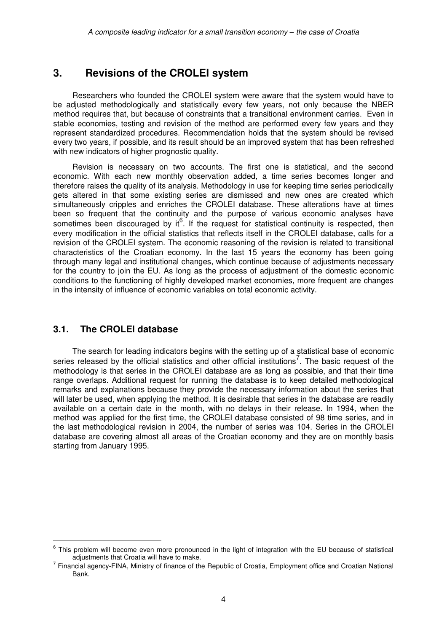## **3. Revisions of the CROLEI system**

Researchers who founded the CROLEI system were aware that the system would have to be adjusted methodologically and statistically every few years, not only because the NBER method requires that, but because of constraints that a transitional environment carries. Even in stable economies, testing and revision of the method are performed every few years and they represent standardized procedures. Recommendation holds that the system should be revised every two years, if possible, and its result should be an improved system that has been refreshed with new indicators of higher prognostic quality.

Revision is necessary on two accounts. The first one is statistical, and the second economic. With each new monthly observation added, a time series becomes longer and therefore raises the quality of its analysis. Methodology in use for keeping time series periodically gets altered in that some existing series are dismissed and new ones are created which simultaneously cripples and enriches the CROLEI database. These alterations have at times been so frequent that the continuity and the purpose of various economic analyses have sometimes been discouraged by it<sup>6</sup>. If the request for statistical continuity is respected, then every modification in the official statistics that reflects itself in the CROLEI database, calls for a revision of the CROLEI system. The economic reasoning of the revision is related to transitional characteristics of the Croatian economy. In the last 15 years the economy has been going through many legal and institutional changes, which continue because of adjustments necessary for the country to join the EU. As long as the process of adjustment of the domestic economic conditions to the functioning of highly developed market economies, more frequent are changes in the intensity of influence of economic variables on total economic activity.

#### **3.1. The CROLEI database**

 $\ddot{ }$ 

The search for leading indicators begins with the setting up of a statistical base of economic series released by the official statistics and other official institutions<sup>7</sup>. The basic request of the methodology is that series in the CROLEI database are as long as possible, and that their time range overlaps. Additional request for running the database is to keep detailed methodological remarks and explanations because they provide the necessary information about the series that will later be used, when applying the method. It is desirable that series in the database are readily available on a certain date in the month, with no delays in their release. In 1994, when the method was applied for the first time, the CROLEI database consisted of 98 time series, and in the last methodological revision in 2004, the number of series was 104. Series in the CROLEI database are covering almost all areas of the Croatian economy and they are on monthly basis starting from January 1995.

<sup>6</sup> This problem will become even more pronounced in the light of integration with the EU because of statistical adjustments that Croatia will have to make.

<sup>&</sup>lt;sup>7</sup> Financial agency-FINA, Ministry of finance of the Republic of Croatia, Employment office and Croatian National Bank.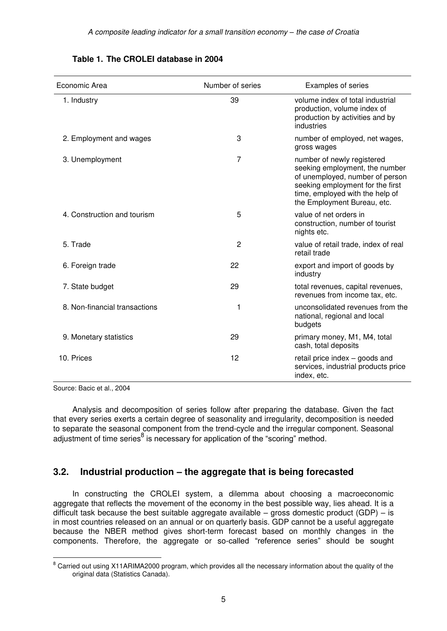| Economic Area                 | Number of series | Examples of series                                                                                                                                                                                    |
|-------------------------------|------------------|-------------------------------------------------------------------------------------------------------------------------------------------------------------------------------------------------------|
| 1. Industry                   | 39               | volume index of total industrial<br>production, volume index of<br>production by activities and by<br>industries                                                                                      |
| 2. Employment and wages       | 3                | number of employed, net wages,<br>gross wages                                                                                                                                                         |
| 3. Unemployment               | $\overline{7}$   | number of newly registered<br>seeking employment, the number<br>of unemployed, number of person<br>seeking employment for the first<br>time, employed with the help of<br>the Employment Bureau, etc. |
| 4. Construction and tourism   | 5                | value of net orders in<br>construction, number of tourist<br>nights etc.                                                                                                                              |
| 5. Trade                      | $\overline{c}$   | value of retail trade, index of real<br>retail trade                                                                                                                                                  |
| 6. Foreign trade              | 22               | export and import of goods by<br>industry                                                                                                                                                             |
| 7. State budget               | 29               | total revenues, capital revenues,<br>revenues from income tax, etc.                                                                                                                                   |
| 8. Non-financial transactions | 1                | unconsolidated revenues from the<br>national, regional and local<br>budgets                                                                                                                           |
| 9. Monetary statistics        | 29               | primary money, M1, M4, total<br>cash, total deposits                                                                                                                                                  |
| 10. Prices                    | 12               | retail price index - goods and<br>services, industrial products price<br>index, etc.                                                                                                                  |

#### **Table 1. The CROLEI database in 2004**

Source: Bacic et al., 2004

 $\ddot{ }$ 

Analysis and decomposition of series follow after preparing the database. Given the fact that every series exerts a certain degree of seasonality and irregularity, decomposition is needed to separate the seasonal component from the trend-cycle and the irregular component. Seasonal adjustment of time series $^8$  is necessary for application of the "scoring" method.

### **3.2. Industrial production – the aggregate that is being forecasted**

In constructing the CROLEI system, a dilemma about choosing a macroeconomic aggregate that reflects the movement of the economy in the best possible way, lies ahead. It is a difficult task because the best suitable aggregate available – gross domestic product (GDP) – is in most countries released on an annual or on quarterly basis. GDP cannot be a useful aggregate because the NBER method gives short-term forecast based on monthly changes in the components. Therefore, the aggregate or so-called "reference series" should be sought

 $8$  Carried out using X11ARIMA2000 program, which provides all the necessary information about the quality of the original data (Statistics Canada).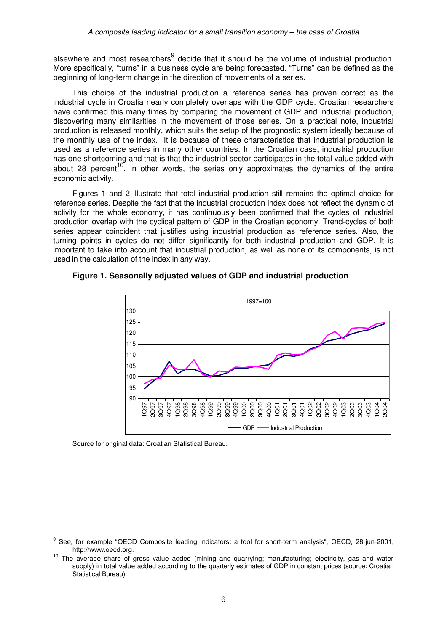elsewhere and most researchers<sup>9</sup> decide that it should be the volume of industrial production. More specifically, "turns" in a business cycle are being forecasted. "Turns" can be defined as the beginning of long-term change in the direction of movements of a series.

This choice of the industrial production a reference series has proven correct as the industrial cycle in Croatia nearly completely overlaps with the GDP cycle. Croatian researchers have confirmed this many times by comparing the movement of GDP and industrial production, discovering many similarities in the movement of those series. On a practical note, industrial production is released monthly, which suits the setup of the prognostic system ideally because of the monthly use of the index. It is because of these characteristics that industrial production is used as a reference series in many other countries. In the Croatian case, industrial production has one shortcoming and that is that the industrial sector participates in the total value added with about 28 percent<sup>10</sup>. In other words, the series only approximates the dynamics of the entire economic activity.

Figures 1 and 2 illustrate that total industrial production still remains the optimal choice for reference series. Despite the fact that the industrial production index does not reflect the dynamic of activity for the whole economy, it has continuously been confirmed that the cycles of industrial production overlap with the cyclical pattern of GDP in the Croatian economy. Trend-cycles of both series appear coincident that justifies using industrial production as reference series. Also, the turning points in cycles do not differ significantly for both industrial production and GDP. It is important to take into account that industrial production, as well as none of its components, is not used in the calculation of the index in any way.



#### **Figure 1. Seasonally adjusted values of GDP and industrial production**

Source for original data: Croatian Statistical Bureau.

 $\ddot{ }$ 

<sup>9</sup> See, for example "OECD Composite leading indicators: a tool for short-term analysis", OECD, 28-jun-2001, http://www.oecd.org.

<sup>&</sup>lt;sup>10</sup> The average share of gross value added (mining and quarrying; manufacturing; electricity, gas and water supply) in total value added according to the quarterly estimates of GDP in constant prices (source: Croatian Statistical Bureau).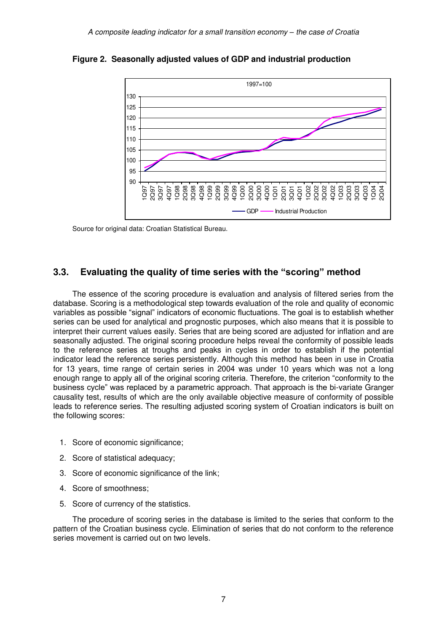**Figure 2. Seasonally adjusted values of GDP and industrial production** 



Source for original data: Croatian Statistical Bureau.

#### **3.3. Evaluating the quality of time series with the "scoring" method**

The essence of the scoring procedure is evaluation and analysis of filtered series from the database. Scoring is a methodological step towards evaluation of the role and quality of economic variables as possible "signal" indicators of economic fluctuations. The goal is to establish whether series can be used for analytical and prognostic purposes, which also means that it is possible to interpret their current values easily. Series that are being scored are adjusted for inflation and are seasonally adjusted. The original scoring procedure helps reveal the conformity of possible leads to the reference series at troughs and peaks in cycles in order to establish if the potential indicator lead the reference series persistently. Although this method has been in use in Croatia for 13 years, time range of certain series in 2004 was under 10 years which was not a long enough range to apply all of the original scoring criteria. Therefore, the criterion "conformity to the business cycle" was replaced by a parametric approach. That approach is the bi-variate Granger causality test, results of which are the only available objective measure of conformity of possible leads to reference series. The resulting adjusted scoring system of Croatian indicators is built on the following scores:

- 1. Score of economic significance;
- 2. Score of statistical adequacy;
- 3. Score of economic significance of the link;
- 4. Score of smoothness;
- 5. Score of currency of the statistics.

The procedure of scoring series in the database is limited to the series that conform to the pattern of the Croatian business cycle. Elimination of series that do not conform to the reference series movement is carried out on two levels.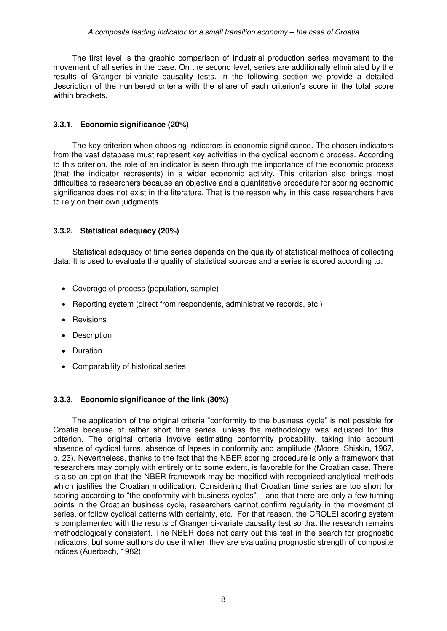#### *A composite leading indicator for a small transition economy – the case of Croatia*

The first level is the graphic comparison of industrial production series movement to the movement of all series in the base. On the second level, series are additionally eliminated by the results of Granger bi-variate causality tests. In the following section we provide a detailed description of the numbered criteria with the share of each criterion's score in the total score within brackets.

#### **3.3.1. Economic significance (20%)**

The key criterion when choosing indicators is economic significance. The chosen indicators from the vast database must represent key activities in the cyclical economic process. According to this criterion, the role of an indicator is seen through the importance of the economic process (that the indicator represents) in a wider economic activity. This criterion also brings most difficulties to researchers because an objective and a quantitative procedure for scoring economic significance does not exist in the literature. That is the reason why in this case researchers have to rely on their own judgments.

#### **3.3.2. Statistical adequacy (20%)**

Statistical adequacy of time series depends on the quality of statistical methods of collecting data. It is used to evaluate the quality of statistical sources and a series is scored according to:

- Coverage of process (population, sample)
- Reporting system (direct from respondents, administrative records, etc.)
- Revisions
- Description
- Duration
- Comparability of historical series

#### **3.3.3. Economic significance of the link (30%)**

The application of the original criteria "conformity to the business cycle" is not possible for Croatia because of rather short time series, unless the methodology was adjusted for this criterion. The original criteria involve estimating conformity probability, taking into account absence of cyclical turns, absence of lapses in conformity and amplitude (Moore, Shiskin, 1967, p. 23). Nevertheless, thanks to the fact that the NBER scoring procedure is only a framework that researchers may comply with entirely or to some extent, is favorable for the Croatian case. There is also an option that the NBER framework may be modified with recognized analytical methods which justifies the Croatian modification. Considering that Croatian time series are too short for scoring according to "the conformity with business cycles" – and that there are only a few turning points in the Croatian business cycle, researchers cannot confirm regularity in the movement of series, or follow cyclical patterns with certainty, etc. For that reason, the CROLEI scoring system is complemented with the results of Granger bi-variate causality test so that the research remains methodologically consistent. The NBER does not carry out this test in the search for prognostic indicators, but some authors do use it when they are evaluating prognostic strength of composite indices (Auerbach, 1982).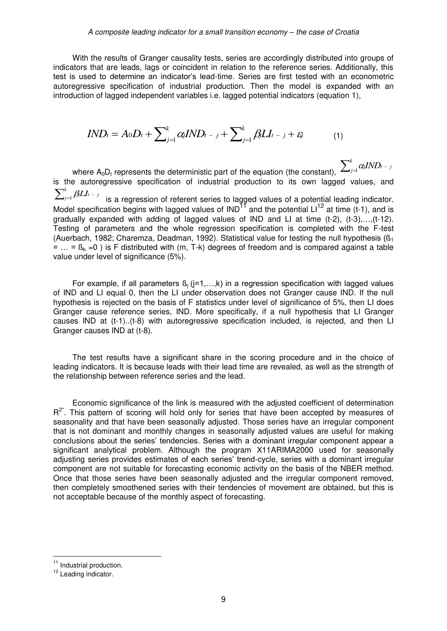With the results of Granger causality tests, series are accordingly distributed into groups of indicators that are leads, lags or coincident in relation to the reference series. Additionally, this test is used to determine an indicator's lead-time. Series are first tested with an econometric autoregressive specification of industrial production. Then the model is expanded with an introduction of lagged independent variables i.e. lagged potential indicators (equation 1),

$$
IND_{t} = A_{0}D_{t} + \sum_{j=1}^{k} \alpha_{j} IND_{t-j} + \sum_{j=1}^{k} \beta_{j} LI_{t-j} + \varepsilon_{j}
$$
(1)

where A<sub>0</sub>D<sub>t</sub> represents the deterministic part of the equation (the constant),  $\sum_{j=1}^k\alpha_jIND_i$  - $\int_{j=1}^{\infty} \alpha_j IND_t$  – *j* is the autoregressive specification of industrial production to its own lagged values, and  $\sum\nolimits_{j=1}^{k}\beta _{j}LI_{t}$  –  $\int_{j=1}^{\infty} \beta_j L I_t - j$ is a regression of referent series to lagged values of a potential leading indicator.

Model specification begins with lagged values of  $IND<sup>11</sup>$  and the potential  $LI<sup>12</sup>$  at time (t-1), and is gradually expanded with adding of lagged values of IND and LI at time (t-2), (t-3),…,(t-12). Testing of parameters and the whole regression specification is completed with the F-test (Auerbach, 1982; Charemza, Deadman, 1992). Statistical value for testing the null hypothesis ( $B_1$ )  $= ... = B_k = 0$ ) is F distributed with (m, T-k) degrees of freedom and is compared against a table value under level of significance (5%).

For example, if all parameters  $\beta_i$  (j=1,...,k) in a regression specification with lagged values of IND and LI equal 0, then the LI under observation does not Granger cause IND. If the null hypothesis is rejected on the basis of F statistics under level of significance of 5%, then LI does Granger cause reference series, IND. More specifically, if a null hypothesis that LI Granger causes IND at (t-1)..(t-8) with autoregressive specification included, is rejected, and then LI Granger causes IND at (t-8).

The test results have a significant share in the scoring procedure and in the choice of leading indicators. It is because leads with their lead time are revealed, as well as the strength of the relationship between reference series and the lead.

Economic significance of the link is measured with the adjusted coefficient of determination  $R^{2^*}$ . This pattern of scoring will hold only for series that have been accepted by measures of seasonality and that have been seasonally adjusted. Those series have an irregular component that is not dominant and monthly changes in seasonally adjusted values are useful for making conclusions about the series' tendencies. Series with a dominant irregular component appear a significant analytical problem. Although the program X11ARIMA2000 used for seasonally adjusting series provides estimates of each series' trend-cycle, series with a dominant irregular component are not suitable for forecasting economic activity on the basis of the NBER method. Once that those series have been seasonally adjusted and the irregular component removed, then completely smoothened series with their tendencies of movement are obtained, but this is not acceptable because of the monthly aspect of forecasting.

 $\overline{a}$ 

<sup>&</sup>lt;sup>11</sup> Industrial production.

<sup>&</sup>lt;sup>12</sup> Leading indicator.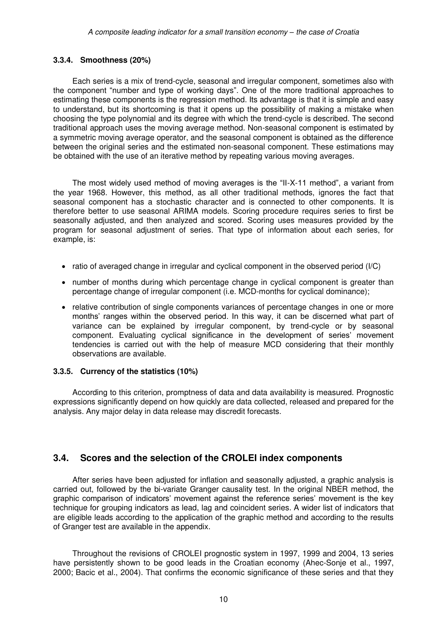#### **3.3.4. Smoothness (20%)**

Each series is a mix of trend-cycle, seasonal and irregular component, sometimes also with the component "number and type of working days". One of the more traditional approaches to estimating these components is the regression method. Its advantage is that it is simple and easy to understand, but its shortcoming is that it opens up the possibility of making a mistake when choosing the type polynomial and its degree with which the trend-cycle is described. The second traditional approach uses the moving average method. Non-seasonal component is estimated by a symmetric moving average operator, and the seasonal component is obtained as the difference between the original series and the estimated non-seasonal component. These estimations may be obtained with the use of an iterative method by repeating various moving averages.

The most widely used method of moving averages is the "II-X-11 method", a variant from the year 1968. However, this method, as all other traditional methods, ignores the fact that seasonal component has a stochastic character and is connected to other components. It is therefore better to use seasonal ARIMA models. Scoring procedure requires series to first be seasonally adjusted, and then analyzed and scored. Scoring uses measures provided by the program for seasonal adjustment of series. That type of information about each series, for example, is:

- ratio of averaged change in irregular and cyclical component in the observed period (I/C)
- number of months during which percentage change in cyclical component is greater than percentage change of irregular component (i.e. MCD-months for cyclical dominance);
- relative contribution of single components variances of percentage changes in one or more months' ranges within the observed period. In this way, it can be discerned what part of variance can be explained by irregular component, by trend-cycle or by seasonal component. Evaluating cyclical significance in the development of series' movement tendencies is carried out with the help of measure MCD considering that their monthly observations are available.

#### **3.3.5. Currency of the statistics (10%)**

According to this criterion, promptness of data and data availability is measured. Prognostic expressions significantly depend on how quickly are data collected, released and prepared for the analysis. Any major delay in data release may discredit forecasts.

#### **3.4. Scores and the selection of the CROLEI index components**

After series have been adjusted for inflation and seasonally adjusted, a graphic analysis is carried out, followed by the bi-variate Granger causality test. In the original NBER method, the graphic comparison of indicators' movement against the reference series' movement is the key technique for grouping indicators as lead, lag and coincident series. A wider list of indicators that are eligible leads according to the application of the graphic method and according to the results of Granger test are available in the appendix.

Throughout the revisions of CROLEI prognostic system in 1997, 1999 and 2004, 13 series have persistently shown to be good leads in the Croatian economy (Ahec-Sonje et al., 1997, 2000; Bacic et al., 2004). That confirms the economic significance of these series and that they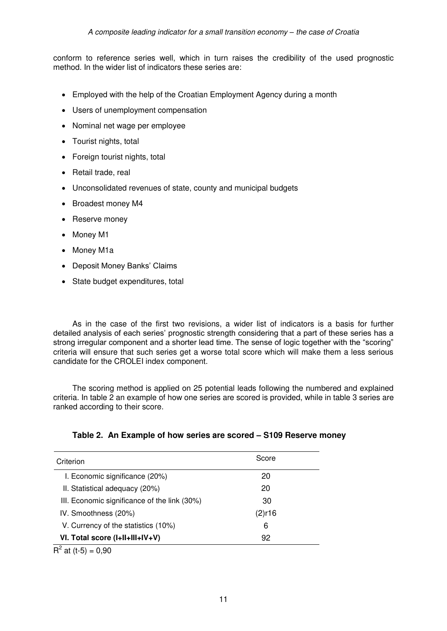conform to reference series well, which in turn raises the credibility of the used prognostic method. In the wider list of indicators these series are:

- Employed with the help of the Croatian Employment Agency during a month
- Users of unemployment compensation
- Nominal net wage per employee
- Tourist nights, total
- Foreign tourist nights, total
- Retail trade, real
- Unconsolidated revenues of state, county and municipal budgets
- Broadest money M4
- Reserve money
- Money M1
- Money M1a
- Deposit Money Banks' Claims
- State budget expenditures, total

As in the case of the first two revisions, a wider list of indicators is a basis for further detailed analysis of each series' prognostic strength considering that a part of these series has a strong irregular component and a shorter lead time. The sense of logic together with the "scoring" criteria will ensure that such series get a worse total score which will make them a less serious candidate for the CROLEI index component.

The scoring method is applied on 25 potential leads following the numbered and explained criteria. In table 2 an example of how one series are scored is provided, while in table 3 series are ranked according to their score.

|  |  |  | Table 2. An Example of how series are scored - S109 Reserve money |  |  |  |
|--|--|--|-------------------------------------------------------------------|--|--|--|
|--|--|--|-------------------------------------------------------------------|--|--|--|

| Criterion                                    | Score     |
|----------------------------------------------|-----------|
| I. Economic significance (20%)               | 20        |
| II. Statistical adequacy (20%)               | 20        |
| III. Economic significance of the link (30%) | 30        |
| IV. Smoothness (20%)                         | $(2)$ r16 |
| V. Currency of the statistics (10%)          | 6         |
| VI. Total score (I+II+III+IV+V)              | 92        |

 $R^2$  at (t-5) = 0,90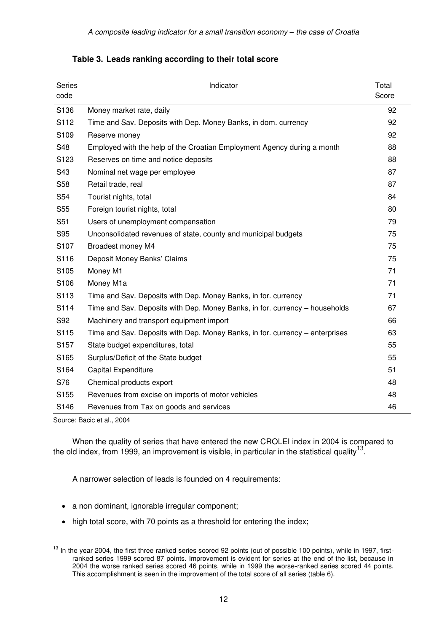| <b>Series</b><br>code | Indicator                                                                    | Total<br>Score |
|-----------------------|------------------------------------------------------------------------------|----------------|
| S136                  | Money market rate, daily                                                     | 92             |
| S112                  | Time and Sav. Deposits with Dep. Money Banks, in dom. currency               | 92             |
| S109                  | Reserve money                                                                | 92             |
| S48                   | Employed with the help of the Croatian Employment Agency during a month      | 88             |
| S123                  | Reserves on time and notice deposits                                         | 88             |
| S43                   | Nominal net wage per employee                                                | 87             |
| S58                   | Retail trade, real                                                           | 87             |
| S54                   | Tourist nights, total                                                        | 84             |
| S <sub>55</sub>       | Foreign tourist nights, total                                                | 80             |
| S51                   | Users of unemployment compensation                                           | 79             |
| S95                   | Unconsolidated revenues of state, county and municipal budgets               | 75             |
| S107                  | Broadest money M4                                                            | 75             |
| S116                  | Deposit Money Banks' Claims                                                  | 75             |
| S <sub>105</sub>      | Money M1                                                                     | 71             |
| S106                  | Money M1a                                                                    | 71             |
| S113                  | Time and Sav. Deposits with Dep. Money Banks, in for. currency               | 71             |
| S114                  | Time and Sav. Deposits with Dep. Money Banks, in for. currency – households  | 67             |
| S92                   | Machinery and transport equipment import                                     | 66             |
| S115                  | Time and Sav. Deposits with Dep. Money Banks, in for. currency - enterprises | 63             |
| S157                  | State budget expenditures, total                                             | 55             |
| S165                  | Surplus/Deficit of the State budget                                          | 55             |
| S164                  | Capital Expenditure                                                          | 51             |
| S76                   | Chemical products export                                                     | 48             |
| S155                  | Revenues from excise on imports of motor vehicles                            | 48             |
| S146                  | Revenues from Tax on goods and services                                      | 46             |

**Table 3. Leads ranking according to their total score** 

Source: Bacic et al., 2004

 $\ddot{ }$ 

When the quality of series that have entered the new CROLEI index in 2004 is compared to the old index, from 1999, an improvement is visible, in particular in the statistical quality  $^{13}$ .

A narrower selection of leads is founded on 4 requirements:

- a non dominant, ignorable irregular component;
- high total score, with 70 points as a threshold for entering the index;

<sup>&</sup>lt;sup>13</sup> In the year 2004, the first three ranked series scored 92 points (out of possible 100 points), while in 1997, firstranked series 1999 scored 87 points. Improvement is evident for series at the end of the list, because in 2004 the worse ranked series scored 46 points, while in 1999 the worse-ranked series scored 44 points. This accomplishment is seen in the improvement of the total score of all series (table 6).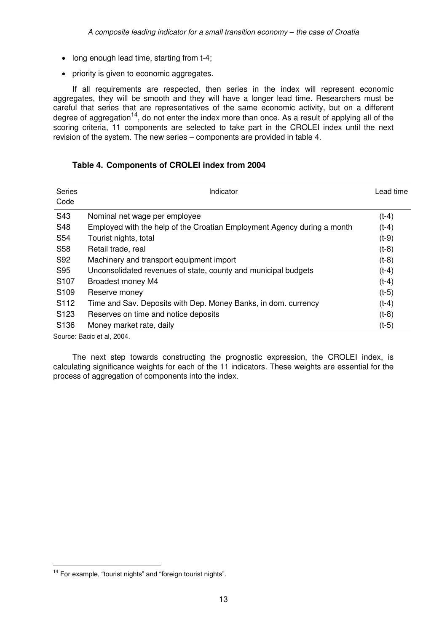- long enough lead time, starting from t-4;
- priority is given to economic aggregates.

If all requirements are respected, then series in the index will represent economic aggregates, they will be smooth and they will have a longer lead time. Researchers must be careful that series that are representatives of the same economic activity, but on a different degree of aggregation<sup>14</sup>, do not enter the index more than once. As a result of applying all of the scoring criteria, 11 components are selected to take part in the CROLEI index until the next revision of the system. The new series – components are provided in table 4.

#### **Table 4. Components of CROLEI index from 2004**

| <b>Series</b><br>Code | Indicator                                                               | Lead time |
|-----------------------|-------------------------------------------------------------------------|-----------|
| S43                   | Nominal net wage per employee                                           | $(t-4)$   |
| S48                   | Employed with the help of the Croatian Employment Agency during a month | $(t-4)$   |
| S <sub>54</sub>       | Tourist nights, total                                                   | $(t-9)$   |
| S <sub>58</sub>       | Retail trade, real                                                      | $(t-8)$   |
| S92                   | Machinery and transport equipment import                                | $(t-8)$   |
| S95                   | Unconsolidated revenues of state, county and municipal budgets          | $(t-4)$   |
| S <sub>107</sub>      | Broadest money M4                                                       | $(t-4)$   |
| S <sub>109</sub>      | Reserve money                                                           | $(t-5)$   |
| S112                  | Time and Sav. Deposits with Dep. Money Banks, in dom. currency          | $(t-4)$   |
| S <sub>123</sub>      | Reserves on time and notice deposits                                    | $(t-8)$   |
| S <sub>136</sub>      | Money market rate, daily                                                | $(t-5)$   |

Source: Bacic et al, 2004.

 $\ddot{ }$ 

The next step towards constructing the prognostic expression, the CROLEI index, is calculating significance weights for each of the 11 indicators. These weights are essential for the process of aggregation of components into the index.

<sup>&</sup>lt;sup>14</sup> For example, "tourist nights" and "foreign tourist nights".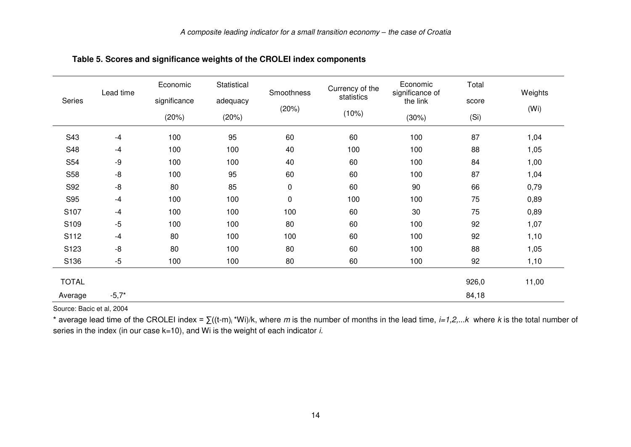| Series       | Lead time | Economic<br>significance<br>(20%) | Statistical<br>adequacy<br>(20%) | Smoothness<br>(20%) | Currency of the<br>statistics<br>(10%) | Economic<br>significance of<br>the link<br>(30%) | Total<br>score<br>(Si) | Weights<br>(W <sub>i</sub> ) |
|--------------|-----------|-----------------------------------|----------------------------------|---------------------|----------------------------------------|--------------------------------------------------|------------------------|------------------------------|
| S43          | $-4$      | 100                               | 95                               | 60                  | 60                                     | 100                                              | 87                     | 1,04                         |
| S48          | $-4$      | 100                               | 100                              | 40                  | 100                                    | 100                                              | 88                     | 1,05                         |
| S54          | -9        | 100                               | 100                              | 40                  | 60                                     | 100                                              | 84                     | 1,00                         |
| S58          | -8        | 100                               | 95                               | 60                  | 60                                     | 100                                              | 87                     | 1,04                         |
| S92          | -8        | 80                                | 85                               | $\pmb{0}$           | 60                                     | 90                                               | 66                     | 0,79                         |
| S95          | $-4$      | 100                               | 100                              | $\pmb{0}$           | 100                                    | 100                                              | 75                     | 0,89                         |
| S107         | $-4$      | 100                               | 100                              | 100                 | 60                                     | 30                                               | 75                     | 0,89                         |
| S109         | $-5$      | 100                               | 100                              | 80                  | 60                                     | 100                                              | 92                     | 1,07                         |
| S112         | $-4$      | 80                                | 100                              | 100                 | 60                                     | 100                                              | 92                     | 1,10                         |
| S123         | $-8$      | 80                                | 100                              | 80                  | 60                                     | 100                                              | 88                     | 1,05                         |
| S136         | $-5$      | 100                               | 100                              | 80                  | 60                                     | 100                                              | 92                     | 1,10                         |
| <b>TOTAL</b> |           |                                   |                                  |                     |                                        |                                                  | 926,0                  | 11,00                        |
| Average      | $-5,7*$   |                                   |                                  |                     |                                        |                                                  | 84,18                  |                              |

Source: Bacic et al, 2004

\* average lead time of the CROLEI index =  $\sum((t-m)<sub>i</sub>$ <sup>\*</sup>Wi)/k, where *m* is the number of months in the lead time, *i=1,2,...k* where *k* is the total number of series in the index (in our case k=10), and Wi is the weight of each indicator *i.*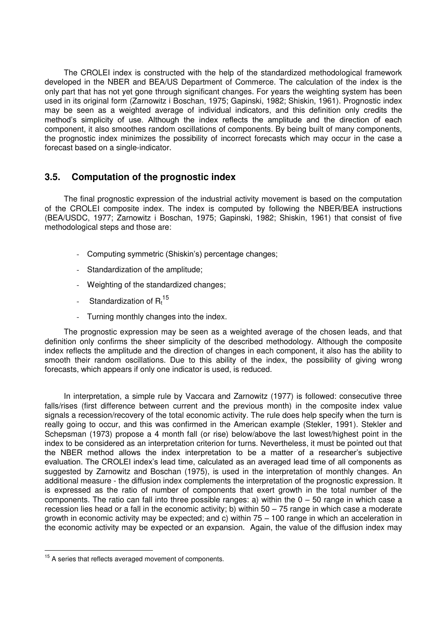The CROLEI index is constructed with the help of the standardized methodological framework developed in the NBER and BEA/US Department of Commerce. The calculation of the index is the only part that has not yet gone through significant changes. For years the weighting system has been used in its original form (Zarnowitz i Boschan, 1975; Gapinski, 1982; Shiskin, 1961). Prognostic index may be seen as a weighted average of individual indicators, and this definition only credits the method's simplicity of use. Although the index reflects the amplitude and the direction of each component, it also smoothes random oscillations of components. By being built of many components, the prognostic index minimizes the possibility of incorrect forecasts which may occur in the case a forecast based on a single-indicator.

#### **3.5. Computation of the prognostic index**

The final prognostic expression of the industrial activity movement is based on the computation of the CROLEI composite index. The index is computed by following the NBER/BEA instructions (BEA/USDC, 1977; Zarnowitz i Boschan, 1975; Gapinski, 1982; Shiskin, 1961) that consist of five methodological steps and those are:

- Computing symmetric (Shiskin's) percentage changes;
- Standardization of the amplitude;
- Weighting of the standardized changes;
- Standardization of  $R_t^{15}$
- Turning monthly changes into the index.

The prognostic expression may be seen as a weighted average of the chosen leads, and that definition only confirms the sheer simplicity of the described methodology. Although the composite index reflects the amplitude and the direction of changes in each component, it also has the ability to smooth their random oscillations. Due to this ability of the index, the possibility of giving wrong forecasts, which appears if only one indicator is used, is reduced.

In interpretation, a simple rule by Vaccara and Zarnowitz (1977) is followed: consecutive three falls/rises (first difference between current and the previous month) in the composite index value signals a recession/recovery of the total economic activity. The rule does help specify when the turn is really going to occur, and this was confirmed in the American example (Stekler, 1991). Stekler and Schepsman (1973) propose a 4 month fall (or rise) below/above the last lowest/highest point in the index to be considered as an interpretation criterion for turns. Nevertheless, it must be pointed out that the NBER method allows the index interpretation to be a matter of a researcher's subjective evaluation. The CROLEI index's lead time, calculated as an averaged lead time of all components as suggested by Zarnowitz and Boschan (1975), is used in the interpretation of monthly changes. An additional measure - the diffusion index complements the interpretation of the prognostic expression. It is expressed as the ratio of number of components that exert growth in the total number of the components. The ratio can fall into three possible ranges: a) within the  $0 - 50$  range in which case a recession lies head or a fall in the economic activity; b) within  $50 - 75$  range in which case a moderate growth in economic activity may be expected; and c) within 75 – 100 range in which an acceleration in the economic activity may be expected or an expansion. Again, the value of the diffusion index may

<sup>&</sup>lt;sup>15</sup> A series that reflects averaged movement of components.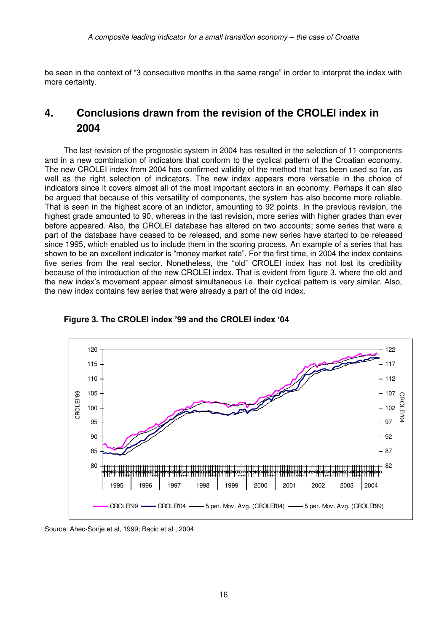be seen in the context of "3 consecutive months in the same range" in order to interpret the index with more certainty.

## **4. Conclusions drawn from the revision of the CROLEI index in**

The last revision of the prognostic system in 2004 has resulted in the selection of 11 components and in a new combination of indicators that conform to the cyclical pattern of the Croatian economy. The new CROLEI index from 2004 has confirmed validity of the method that has been used so far, as well as the right selection of indicators. The new index appears more versatile in the choice of indicators since it covers almost all of the most important sectors in an economy. Perhaps it can also be argued that because of this versatility of components, the system has also become more reliable. That is seen in the highest score of an indictor, amounting to 92 points. In the previous revision, the highest grade amounted to 90, whereas in the last revision, more series with higher grades than ever before appeared. Also, the CROLEI database has altered on two accounts; some series that were a part of the database have ceased to be released, and some new series have started to be released since 1995, which enabled us to include them in the scoring process. An example of a series that has shown to be an excellent indicator is "money market rate". For the first time, in 2004 the index contains five series from the real sector. Nonetheless, the "old" CROLEI index has not lost its credibility because of the introduction of the new CROLEI index. That is evident from figure 3, where the old and the new index's movement appear almost simultaneous i.e. their cyclical pattern is very similar. Also, the new index contains few series that were already a part of the old index.



**Figure 3. The CROLEI index '99 and the CROLEI index '04**

Source: Ahec-Sonje et al, 1999; Bacic et al., 2004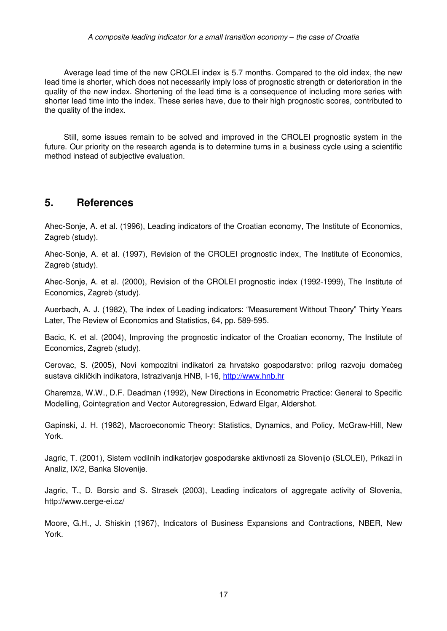Average lead time of the new CROLEI index is 5.7 months. Compared to the old index, the new lead time is shorter, which does not necessarily imply loss of prognostic strength or deterioration in the quality of the new index. Shortening of the lead time is a consequence of including more series with shorter lead time into the index. These series have, due to their high prognostic scores, contributed to the quality of the index.

Still, some issues remain to be solved and improved in the CROLEI prognostic system in the future. Our priority on the research agenda is to determine turns in a business cycle using a scientific method instead of subjective evaluation.

### **5. References**

Ahec-Sonje, A. et al. (1996), Leading indicators of the Croatian economy, The Institute of Economics, Zagreb (study).

Ahec-Sonje, A. et al. (1997), Revision of the CROLEI prognostic index, The Institute of Economics, Zagreb (study).

Ahec-Sonje, A. et al. (2000), Revision of the CROLEI prognostic index (1992-1999), The Institute of Economics, Zagreb (study).

Auerbach, A. J. (1982), The index of Leading indicators: "Measurement Without Theory" Thirty Years Later, The Review of Economics and Statistics, 64, pp. 589-595.

Bacic, K. et al. (2004), Improving the prognostic indicator of the Croatian economy, The Institute of Economics, Zagreb (study).

Cerovac, S. (2005), Novi kompozitni indikatori za hrvatsko gospodarstvo: prilog razvoju domaćeg sustava cikličkih indikatora, Istrazivanja HNB, I-16, [http://www.hnb.hr](http://www.hnb.hr/)

Charemza, W.W., D.F. Deadman (1992), New Directions in Econometric Practice: General to Specific Modelling, Cointegration and Vector Autoregression, Edward Elgar, Aldershot.

Gapinski, J. H. (1982), Macroeconomic Theory: Statistics, Dynamics, and Policy, McGraw-Hill, New York.

Jagric, T. (2001), Sistem vodilnih indikatorjev gospodarske aktivnosti za Slovenijo (SLOLEI), Prikazi in Analiz, IX/2, Banka Slovenije.

Jagric, T., D. Borsic and S. Strasek (2003), Leading indicators of aggregate activity of Slovenia, http://www.cerge-ei.cz/

Moore, G.H., J. Shiskin (1967), Indicators of Business Expansions and Contractions, NBER, New York.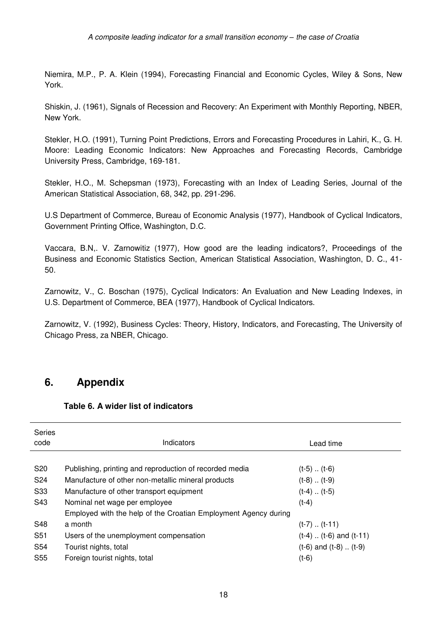Niemira, M.P., P. A. Klein (1994), Forecasting Financial and Economic Cycles, Wiley & Sons, New York.

Shiskin, J. (1961), Signals of Recession and Recovery: An Experiment with Monthly Reporting, NBER, New York.

Stekler, H.O. (1991), Turning Point Predictions, Errors and Forecasting Procedures in Lahiri, K., G. H. Moore: Leading Economic Indicators: New Approaches and Forecasting Records, Cambridge University Press, Cambridge, 169-181.

Stekler, H.O., M. Schepsman (1973), Forecasting with an Index of Leading Series, Journal of the American Statistical Association, 68, 342, pp. 291-296.

U.S Department of Commerce, Bureau of Economic Analysis (1977), Handbook of Cyclical Indicators, Government Printing Office, Washington, D.C.

Vaccara, B.N,. V. Zarnowitiz (1977), How good are the leading indicators?, Proceedings of the Business and Economic Statistics Section, American Statistical Association, Washington, D. C., 41- 50.

Zarnowitz, V., C. Boschan (1975), Cyclical Indicators: An Evaluation and New Leading Indexes, in U.S. Department of Commerce, BEA (1977), Handbook of Cyclical Indicators.

Zarnowitz, V. (1992), Business Cycles: Theory, History, Indicators, and Forecasting, The University of Chicago Press, za NBER, Chicago.

## **6. Appendix**

#### **Table 6. A wider list of indicators**

| Series<br>code  | Indicators                                                      | Lead time                    |
|-----------------|-----------------------------------------------------------------|------------------------------|
|                 |                                                                 |                              |
| S <sub>20</sub> | Publishing, printing and reproduction of recorded media         | $(t-5)$ $(t-6)$              |
| S24             | Manufacture of other non-metallic mineral products              | $(t-8)$ $(t-9)$              |
| S33             | Manufacture of other transport equipment                        | $(t-4)$ $(t-5)$              |
| S43             | Nominal net wage per employee                                   | $(t-4)$                      |
|                 | Employed with the help of the Croatian Employment Agency during |                              |
| S48             | a month                                                         | $(t-7)$ $(t-11)$             |
| S <sub>51</sub> | Users of the unemployment compensation                          | $(t-4)$ $(t-6)$ and $(t-11)$ |
| S54             | Tourist nights, total                                           | $(t-6)$ and $(t-8)$ $(t-9)$  |
| S <sub>55</sub> | Foreign tourist nights, total                                   | $(t-6)$                      |